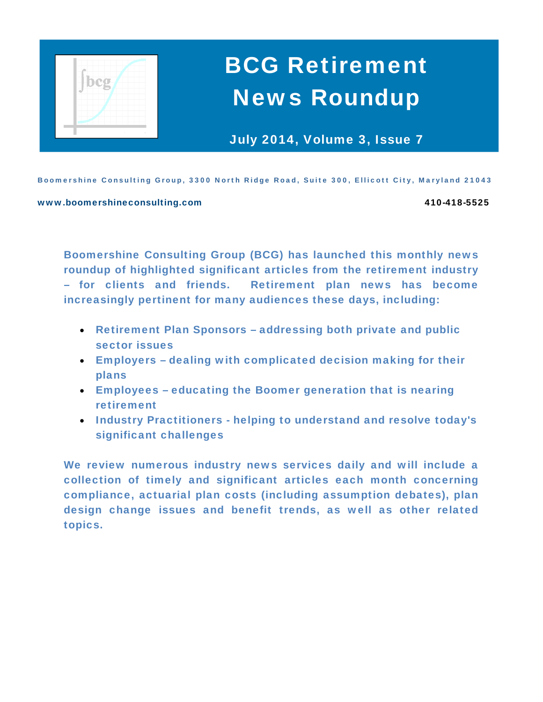

# BCG Retirement News Roundup

July 2014, Volume 3, Issue 7

Boomershine Consulting Group, 3300 North Ridge Road, Suite 300, Ellicott City, Maryland 21043

#### www.boomershineconsulting.com 410-418-5525

Boomershine Consulting Group (BCG) has launched this monthly news roundup of highlighted significant articles from the retirement industry – for clients and friends. Retirement plan news has become increasingly pertinent for many audiences these days, including:

- Retirement Plan Sponsors addressing both private and public sector issues
- Employers dealing with complicated decision making for their plans
- Employees educating the Boomer generation that is nearing retirement
- Industry Practitioners helping to understand and resolve today's significant challenges

We review numerous industry news services daily and will include a collection of timely and significant articles each month concerning compliance, actuarial plan costs (including assumption debates), plan design change issues and benefit trends, as well as other related topics.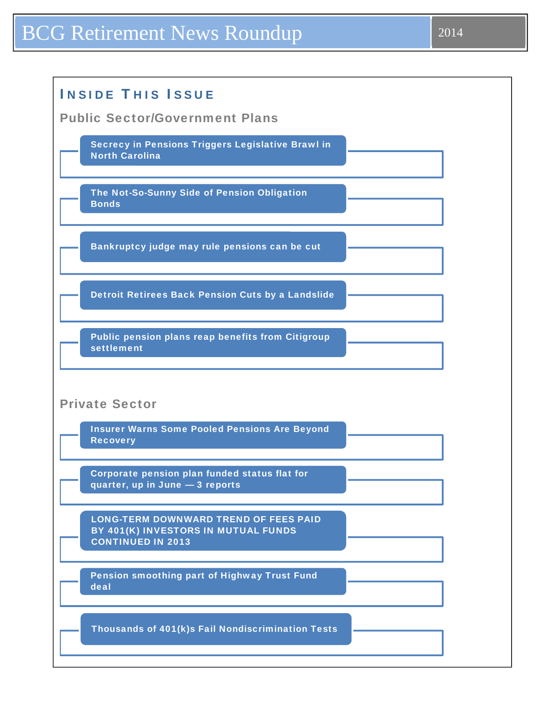| <b>INSIDE THIS ISSUE</b>                                                                                        |
|-----------------------------------------------------------------------------------------------------------------|
| <b>Public Sector/Government Plans</b>                                                                           |
| Secrecy in Pensions Triggers Legislative Brawl in<br><b>North Carolina</b>                                      |
| The Not-So-Sunny Side of Pension Obligation<br><b>Bonds</b>                                                     |
| Bankruptcy judge may rule pensions can be cut                                                                   |
| <b>Detroit Retirees Back Pension Cuts by a Landslide</b>                                                        |
| Public pension plans reap benefits from Citigroup<br><b>settlement</b>                                          |
|                                                                                                                 |
| <b>Private Sector</b>                                                                                           |
| <b>Insurer Warns Some Pooled Pensions Are Beyond</b><br><b>Recovery</b>                                         |
| Corporate pension plan funded status flat for<br>quarter, up in June - 3 reports                                |
| <b>LONG-TERM DOWNWARD TREND OF FEES PAID</b><br>BY 401(K) INVESTORS IN MUTUAL FUNDS<br><b>CONTINUED IN 2013</b> |
| Pension smoothing part of Highway Trust Fund<br>deal                                                            |
| Thousands of 401(k)s Fail Nondiscrimination Tests                                                               |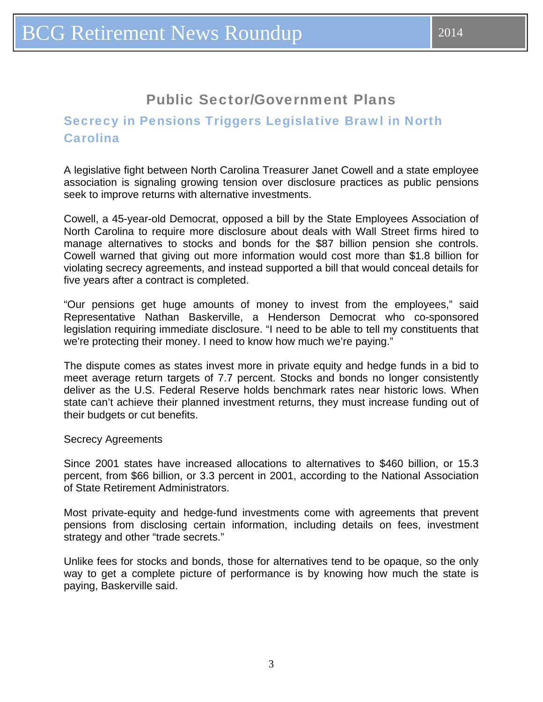# Public Sector/Government Plans

# <span id="page-2-0"></span>Secrecy in Pensions Triggers Legislative Brawl in North **Carolina**

A legislative fight between North Carolina Treasurer Janet Cowell and a state employee association is signaling growing tension over disclosure practices as public pensions seek to improve returns with alternative investments.

Cowell, a 45-year-old Democrat, opposed a bill by the State Employees Association of North Carolina to require more disclosure about deals with Wall Street firms hired to manage alternatives to stocks and bonds for the \$87 billion pension she controls. Cowell warned that giving out more information would cost more than \$1.8 billion for violating secrecy agreements, and instead supported a bill that would conceal details for five years after a contract is completed.

"Our pensions get huge amounts of money to invest from the employees," said Representative Nathan Baskerville, a Henderson Democrat who co-sponsored legislation requiring immediate disclosure. "I need to be able to tell my constituents that we're protecting their money. I need to know how much we're paying."

The dispute comes as states invest more in private equity and hedge funds in a bid to meet average return targets of 7.7 percent. Stocks and bonds no longer consistently deliver as the U.S. Federal Reserve holds benchmark rates near historic lows. When state can't achieve their planned investment returns, they must increase funding out of their budgets or cut benefits.

#### Secrecy Agreements

Since 2001 states have increased allocations to alternatives to \$460 billion, or 15.3 percent, from \$66 billion, or 3.3 percent in 2001, according to the National Association of State Retirement Administrators.

Most private-equity and hedge-fund investments come with agreements that prevent pensions from disclosing certain information, including details on fees, investment strategy and other "trade secrets."

Unlike fees for stocks and bonds, those for alternatives tend to be opaque, so the only way to get a complete picture of performance is by knowing how much the state is paying, Baskerville said.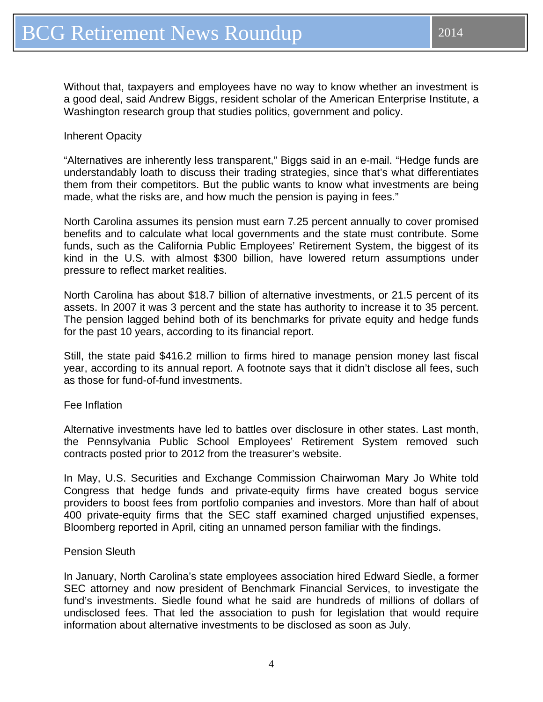Without that, taxpayers and employees have no way to know whether an investment is a good deal, said Andrew Biggs, resident scholar of the American Enterprise Institute, a Washington research group that studies politics, government and policy.

### Inherent Opacity

"Alternatives are inherently less transparent," Biggs said in an e-mail. "Hedge funds are understandably loath to discuss their trading strategies, since that's what differentiates them from their competitors. But the public wants to know what investments are being made, what the risks are, and how much the pension is paying in fees."

North Carolina assumes its pension must earn 7.25 percent annually to cover promised benefits and to calculate what local governments and the state must contribute. Some funds, such as the California Public Employees' Retirement System, the biggest of its kind in the U.S. with almost \$300 billion, have lowered return assumptions under pressure to reflect market realities.

North Carolina has about \$18.7 billion of alternative investments, or 21.5 percent of its assets. In 2007 it was 3 percent and the state has authority to increase it to 35 percent. The pension lagged behind both of its benchmarks for private equity and hedge funds for the past 10 years, according to its financial report.

Still, the state paid \$416.2 million to firms hired to manage pension money last fiscal year, according to its annual report. A footnote says that it didn't disclose all fees, such as those for fund-of-fund investments.

#### Fee Inflation

Alternative investments have led to battles over disclosure in other states. Last month, the Pennsylvania Public School Employees' Retirement System removed such contracts posted prior to 2012 from the treasurer's website.

In May, U.S. Securities and Exchange Commission Chairwoman Mary Jo White told Congress that hedge funds and private-equity firms have created bogus service providers to boost fees from portfolio companies and investors. More than half of about 400 private-equity firms that the SEC staff examined charged unjustified expenses, Bloomberg reported in April, citing an unnamed person familiar with the findings.

#### Pension Sleuth

In January, North Carolina's state employees association hired Edward Siedle, a former SEC attorney and now president of Benchmark Financial Services, to investigate the fund's investments. Siedle found what he said are hundreds of millions of dollars of undisclosed fees. That led the association to push for legislation that would require information about alternative investments to be disclosed as soon as July.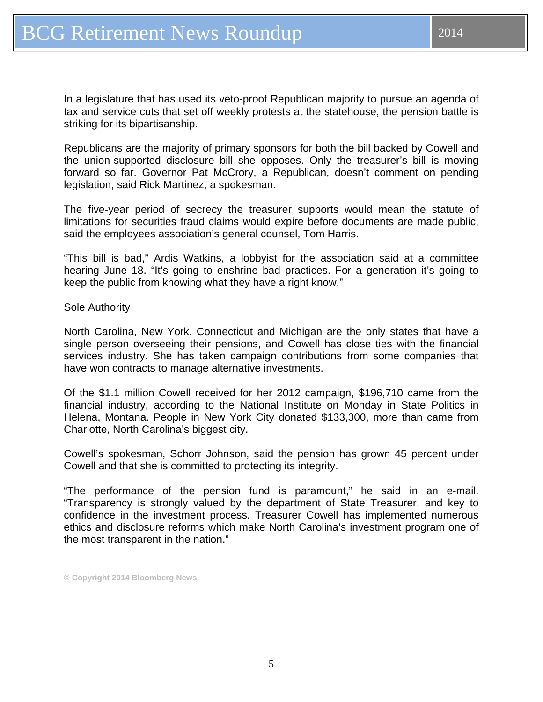In a legislature that has used its veto-proof Republican majority to pursue an agenda of tax and service cuts that set off weekly protests at the statehouse, the pension battle is striking for its bipartisanship.

Republicans are the majority of primary sponsors for both the bill backed by Cowell and the union-supported disclosure bill she opposes. Only the treasurer's bill is moving forward so far. Governor Pat McCrory, a Republican, doesn't comment on pending legislation, said Rick Martinez, a spokesman.

The five-year period of secrecy the treasurer supports would mean the statute of limitations for securities fraud claims would expire before documents are made public, said the employees association's general counsel, Tom Harris.

"This bill is bad," Ardis Watkins, a lobbyist for the association said at a committee hearing June 18. "It's going to enshrine bad practices. For a generation it's going to keep the public from knowing what they have a right know."

Sole Authority

North Carolina, New York, Connecticut and Michigan are the only states that have a single person overseeing their pensions, and Cowell has close ties with the financial services industry. She has taken campaign contributions from some companies that have won contracts to manage alternative investments.

Of the \$1.1 million Cowell received for her 2012 campaign, \$196,710 came from the financial industry, according to the National Institute on Monday in State Politics in Helena, Montana. People in New York City donated \$133,300, more than came from Charlotte, North Carolina's biggest city.

Cowell's spokesman, Schorr Johnson, said the pension has grown 45 percent under Cowell and that she is committed to protecting its integrity.

"The performance of the pension fund is paramount," he said in an e-mail. "Transparency is strongly valued by the department of State Treasurer, and key to confidence in the investment process. Treasurer Cowell has implemented numerous ethics and disclosure reforms which make North Carolina's investment program one of the most transparent in the nation."

**© Copyright 2014 Bloomberg News.**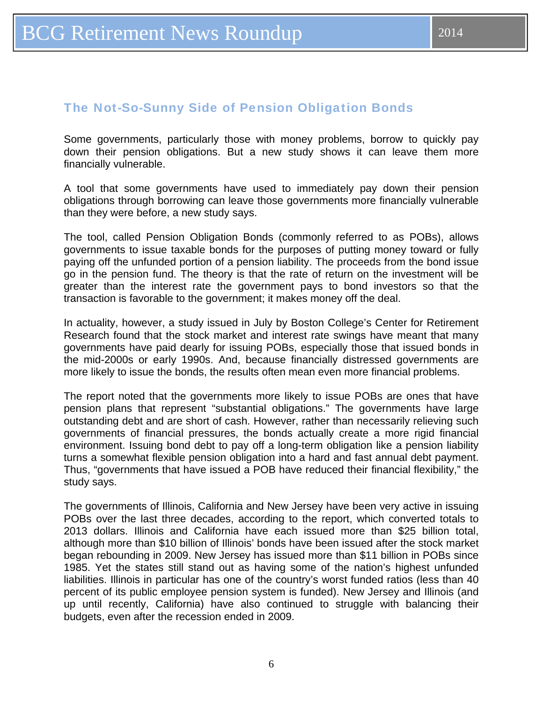### <span id="page-5-0"></span>The Not-So-Sunny Side of Pension Obligation Bonds

Some governments, particularly those with money problems, borrow to quickly pay down their pension obligations. But a new study shows it can leave them more financially vulnerable.

A tool that some governments have used to immediately pay down their pension obligations through borrowing can leave those governments more financially vulnerable than they were before, a new study says.

The tool, called Pension Obligation Bonds (commonly referred to as POBs), allows governments to issue taxable bonds for the purposes of putting money toward or fully paying off the unfunded portion of a pension liability. The proceeds from the bond issue go in the pension fund. The theory is that the rate of return on the investment will be greater than the interest rate the government pays to bond investors so that the transaction is favorable to the government; it makes money off the deal.

In actuality, however, a study issued in July by Boston College's Center for Retirement Research found that the stock market and interest rate swings have meant that many governments have paid dearly for issuing POBs, especially those that issued bonds in the mid-2000s or early 1990s. And, because financially distressed governments are more likely to issue the bonds, the results often mean even more financial problems.

The report noted that the governments more likely to issue POBs are ones that have pension plans that represent "substantial obligations." The governments have large outstanding debt and are short of cash. However, rather than necessarily relieving such governments of financial pressures, the bonds actually create a more rigid financial environment. Issuing bond debt to pay off a long-term obligation like a pension liability turns a somewhat flexible pension obligation into a hard and fast annual debt payment. Thus, "governments that have issued a POB have reduced their financial flexibility," the study says.

The governments of Illinois, California and New Jersey have been very active in issuing POBs over the last three decades, according to the report, which converted totals to 2013 dollars. Illinois and California have each issued more than \$25 billion total, although more than \$10 billion of Illinois' bonds have been issued after the stock market began rebounding in 2009. New Jersey has issued more than \$11 billion in POBs since 1985. Yet the states still stand out as having some of the nation's highest unfunded liabilities. Illinois in particular has one of the country's worst funded ratios (less than 40 percent of its public employee pension system is funded). New Jersey and Illinois (and up until recently, California) have also continued to struggle with balancing their budgets, even after the recession ended in 2009.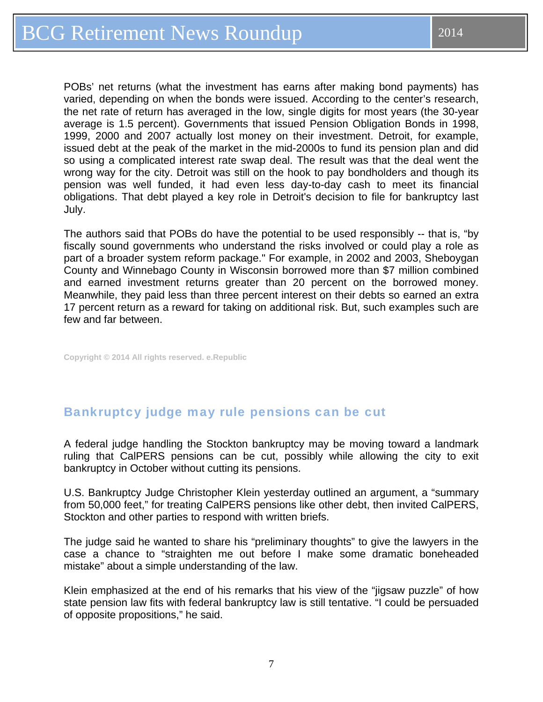<span id="page-6-0"></span>POBs' net returns (what the investment has earns after making bond payments) has varied, depending on when the bonds were issued. According to the center's research, the net rate of return has averaged in the low, single digits for most years (the 30-year average is 1.5 percent). Governments that issued Pension Obligation Bonds in 1998, 1999, 2000 and 2007 actually lost money on their investment. Detroit, for example, issued debt at the peak of the market in the mid-2000s to fund its pension plan and did so using a complicated interest rate swap deal. The result was that the deal went the wrong way for the city. Detroit was still on the hook to pay bondholders and though its pension was well funded, it had even less day-to-day cash to meet its financial obligations. That debt played a key role in Detroit's decision to file for bankruptcy last July.

The authors said that POBs do have the potential to be used responsibly -- that is, "by fiscally sound governments who understand the risks involved or could play a role as part of a broader system reform package." For example, in 2002 and 2003, Sheboygan County and Winnebago County in Wisconsin borrowed more than \$7 million combined and earned investment returns greater than 20 percent on the borrowed money. Meanwhile, they paid less than three percent interest on their debts so earned an extra 17 percent return as a reward for taking on additional risk. But, such examples such are few and far between.

**Copyright © 2014 All rights reserved. e.Republic** 

# Bankruptcy judge may rule pensions can be cut

A federal judge handling the Stockton bankruptcy may be moving toward a landmark ruling that CalPERS pensions can be cut, possibly while allowing the city to exit bankruptcy in October without cutting its pensions.

U.S. Bankruptcy Judge Christopher Klein yesterday outlined an argument, a "summary from 50,000 feet," for treating CalPERS pensions like other debt, then invited CalPERS, Stockton and other parties to respond with written briefs.

The judge said he wanted to share his "preliminary thoughts" to give the lawyers in the case a chance to "straighten me out before I make some dramatic boneheaded mistake" about a simple understanding of the law.

Klein emphasized at the end of his remarks that his view of the "jigsaw puzzle" of how state pension law fits with federal bankruptcy law is still tentative. "I could be persuaded of opposite propositions," he said.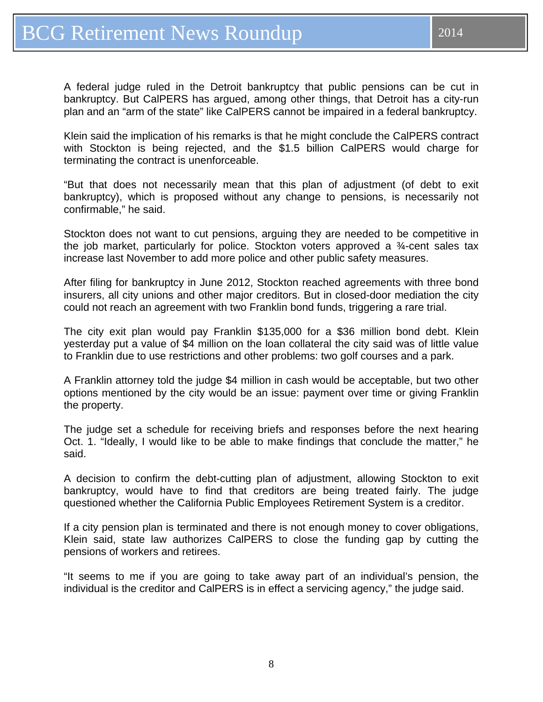A federal judge ruled in the Detroit bankruptcy that public pensions can be cut in bankruptcy. But CalPERS has argued, among other things, that Detroit has a city-run plan and an "arm of the state" like CalPERS cannot be impaired in a federal bankruptcy.

Klein said the implication of his remarks is that he might conclude the CalPERS contract with Stockton is being rejected, and the \$1.5 billion CalPERS would charge for terminating the contract is unenforceable.

"But that does not necessarily mean that this plan of adjustment (of debt to exit bankruptcy), which is proposed without any change to pensions, is necessarily not confirmable," he said.

Stockton does not want to cut pensions, arguing they are needed to be competitive in the job market, particularly for police. Stockton voters approved a ¾-cent sales tax increase last November to add more police and other public safety measures.

After filing for bankruptcy in June 2012, Stockton reached agreements with three bond insurers, all city unions and other major creditors. But in closed-door mediation the city could not reach an agreement with two Franklin bond funds, triggering a rare trial.

The city exit plan would pay Franklin \$135,000 for a \$36 million bond debt. Klein yesterday put a value of \$4 million on the loan collateral the city said was of little value to Franklin due to use restrictions and other problems: two golf courses and a park.

A Franklin attorney told the judge \$4 million in cash would be acceptable, but two other options mentioned by the city would be an issue: payment over time or giving Franklin the property.

The judge set a schedule for receiving briefs and responses before the next hearing Oct. 1. "Ideally, I would like to be able to make findings that conclude the matter," he said.

A decision to confirm the debt-cutting plan of adjustment, allowing Stockton to exit bankruptcy, would have to find that creditors are being treated fairly. The judge questioned whether the California Public Employees Retirement System is a creditor.

If a city pension plan is terminated and there is not enough money to cover obligations, Klein said, state law authorizes CalPERS to close the funding gap by cutting the pensions of workers and retirees.

"It seems to me if you are going to take away part of an individual's pension, the individual is the creditor and CalPERS is in effect a servicing agency," the judge said.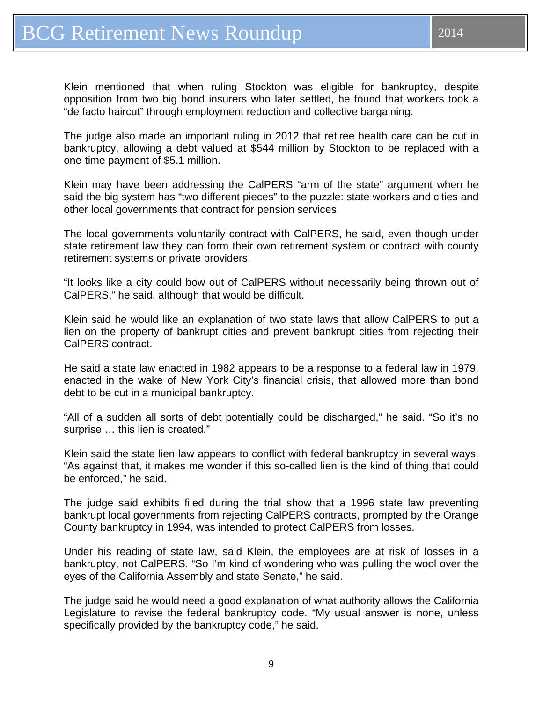Klein mentioned that when ruling Stockton was eligible for bankruptcy, despite opposition from two big bond insurers who later settled, he found that workers took a "de facto haircut" through employment reduction and collective bargaining.

The judge also made an important ruling in 2012 that retiree health care can be cut in bankruptcy, allowing a debt valued at \$544 million by Stockton to be replaced with a one-time payment of \$5.1 million.

Klein may have been addressing the CalPERS "arm of the state" argument when he said the big system has "two different pieces" to the puzzle: state workers and cities and other local governments that contract for pension services.

The local governments voluntarily contract with CalPERS, he said, even though under state retirement law they can form their own retirement system or contract with county retirement systems or private providers.

"It looks like a city could bow out of CalPERS without necessarily being thrown out of CalPERS," he said, although that would be difficult.

Klein said he would like an explanation of two state laws that allow CalPERS to put a lien on the property of bankrupt cities and prevent bankrupt cities from rejecting their CalPERS contract.

He said a state law enacted in 1982 appears to be a response to a federal law in 1979, enacted in the wake of New York City's financial crisis, that allowed more than bond debt to be cut in a municipal bankruptcy.

"All of a sudden all sorts of debt potentially could be discharged," he said. "So it's no surprise … this lien is created."

Klein said the state lien law appears to conflict with federal bankruptcy in several ways. "As against that, it makes me wonder if this so-called lien is the kind of thing that could be enforced," he said.

The judge said exhibits filed during the trial show that a 1996 state law preventing bankrupt local governments from rejecting CalPERS contracts, prompted by the Orange County bankruptcy in 1994, was intended to protect CalPERS from losses.

Under his reading of state law, said Klein, the employees are at risk of losses in a bankruptcy, not CalPERS. "So I'm kind of wondering who was pulling the wool over the eyes of the California Assembly and state Senate," he said.

The judge said he would need a good explanation of what authority allows the California Legislature to revise the federal bankruptcy code. "My usual answer is none, unless specifically provided by the bankruptcy code," he said.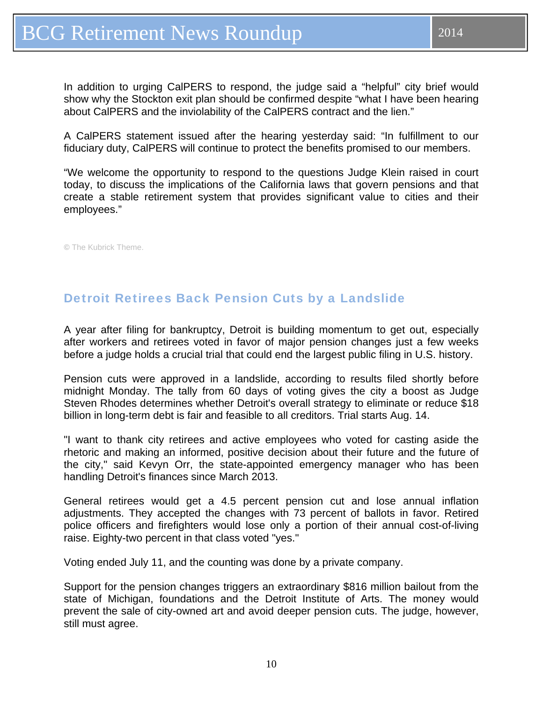<span id="page-9-0"></span>In addition to urging CalPERS to respond, the judge said a "helpful" city brief would show why the Stockton exit plan should be confirmed despite "what I have been hearing about CalPERS and the inviolability of the CalPERS contract and the lien."

A CalPERS statement issued after the hearing yesterday said: "In fulfillment to our fiduciary duty, CalPERS will continue to protect the benefits promised to our members.

"We welcome the opportunity to respond to the questions Judge Klein raised in court today, to discuss the implications of the California laws that govern pensions and that create a stable retirement system that provides significant value to cities and their employees."

**©** The Kubrick Theme.

### Detroit Retirees Back Pension Cuts by a Landslide

A year after filing for bankruptcy, Detroit is building momentum to get out, especially after workers and retirees voted in favor of major pension changes just a few weeks before a judge holds a crucial trial that could end the largest public filing in U.S. history.

Pension cuts were approved in a landslide, according to results filed shortly before midnight Monday. The tally from 60 days of voting gives the city a boost as Judge Steven Rhodes determines whether Detroit's overall strategy to eliminate or reduce \$18 billion in long-term debt is fair and feasible to all creditors. Trial starts Aug. 14.

"I want to thank city retirees and active employees who voted for casting aside the rhetoric and making an informed, positive decision about their future and the future of the city," said Kevyn Orr, the state-appointed emergency manager who has been handling Detroit's finances since March 2013.

General retirees would get a 4.5 percent pension cut and lose annual inflation adjustments. They accepted the changes with 73 percent of ballots in favor. Retired police officers and firefighters would lose only a portion of their annual cost-of-living raise. Eighty-two percent in that class voted "yes."

Voting ended July 11, and the counting was done by a private company.

Support for the pension changes triggers an extraordinary \$816 million bailout from the state of Michigan, foundations and the Detroit Institute of Arts. The money would prevent the sale of city-owned art and avoid deeper pension cuts. The judge, however, still must agree.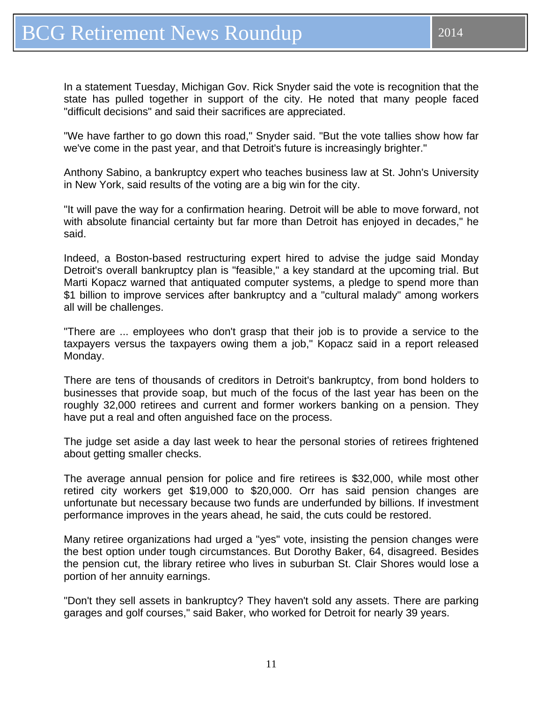In a statement Tuesday, Michigan Gov. Rick Snyder said the vote is recognition that the state has pulled together in support of the city. He noted that many people faced "difficult decisions" and said their sacrifices are appreciated.

"We have farther to go down this road," Snyder said. "But the vote tallies show how far we've come in the past year, and that Detroit's future is increasingly brighter."

Anthony Sabino, a bankruptcy expert who teaches business law at St. John's University in New York, said results of the voting are a big win for the city.

"It will pave the way for a confirmation hearing. Detroit will be able to move forward, not with absolute financial certainty but far more than Detroit has enjoyed in decades," he said.

Indeed, a Boston-based restructuring expert hired to advise the judge said Monday Detroit's overall bankruptcy plan is "feasible," a key standard at the upcoming trial. But Marti Kopacz warned that antiquated computer systems, a pledge to spend more than \$1 billion to improve services after bankruptcy and a "cultural malady" among workers all will be challenges.

"There are ... employees who don't grasp that their job is to provide a service to the taxpayers versus the taxpayers owing them a job," Kopacz said in a report released Monday.

There are tens of thousands of creditors in Detroit's bankruptcy, from bond holders to businesses that provide soap, but much of the focus of the last year has been on the roughly 32,000 retirees and current and former workers banking on a pension. They have put a real and often anguished face on the process.

The judge set aside a day last week to hear the personal stories of retirees frightened about getting smaller checks.

The average annual pension for police and fire retirees is \$32,000, while most other retired city workers get \$19,000 to \$20,000. Orr has said pension changes are unfortunate but necessary because two funds are underfunded by billions. If investment performance improves in the years ahead, he said, the cuts could be restored.

Many retiree organizations had urged a "yes" vote, insisting the pension changes were the best option under tough circumstances. But Dorothy Baker, 64, disagreed. Besides the pension cut, the library retiree who lives in suburban St. Clair Shores would lose a portion of her annuity earnings.

"Don't they sell assets in bankruptcy? They haven't sold any assets. There are parking garages and golf courses," said Baker, who worked for Detroit for nearly 39 years.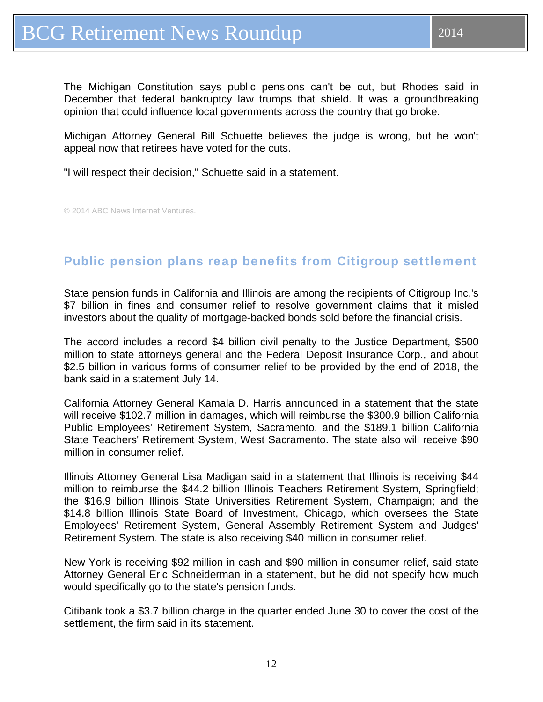<span id="page-11-0"></span>The Michigan Constitution says public pensions can't be cut, but Rhodes said in December that federal bankruptcy law trumps that shield. It was a groundbreaking opinion that could influence local governments across the country that go broke.

Michigan Attorney General Bill Schuette believes the judge is wrong, but he won't appeal now that retirees have voted for the cuts.

"I will respect their decision," Schuette said in a statement.

© 2014 ABC News Internet Ventures.

# Public pension plans reap benefits from Citigroup settlement

State pension funds in California and Illinois are among the recipients of Citigroup Inc.'s \$7 billion in fines and consumer relief to resolve government claims that it misled investors about the quality of mortgage-backed bonds sold before the financial crisis.

The accord includes a record \$4 billion civil penalty to the Justice Department, \$500 million to state attorneys general and the Federal Deposit Insurance Corp., and about \$2.5 billion in various forms of consumer relief to be provided by the end of 2018, the bank said in a statement July 14.

California Attorney General Kamala D. Harris announced in a statement that the state will receive \$102.7 million in damages, which will reimburse the \$300.9 billion California Public Employees' Retirement System, Sacramento, and the \$189.1 billion California State Teachers' Retirement System, West Sacramento. The state also will receive \$90 million in consumer relief.

Illinois Attorney General Lisa Madigan said in a statement that Illinois is receiving \$44 million to reimburse the \$44.2 billion Illinois Teachers Retirement System, Springfield; the \$16.9 billion Illinois State Universities Retirement System, Champaign; and the \$14.8 billion Illinois State Board of Investment, Chicago, which oversees the State Employees' Retirement System, General Assembly Retirement System and Judges' Retirement System. The state is also receiving \$40 million in consumer relief.

New York is receiving \$92 million in cash and \$90 million in consumer relief, said state Attorney General Eric Schneiderman in a statement, but he did not specify how much would specifically go to the state's pension funds.

Citibank took a \$3.7 billion charge in the quarter ended June 30 to cover the cost of the settlement, the firm said in its statement.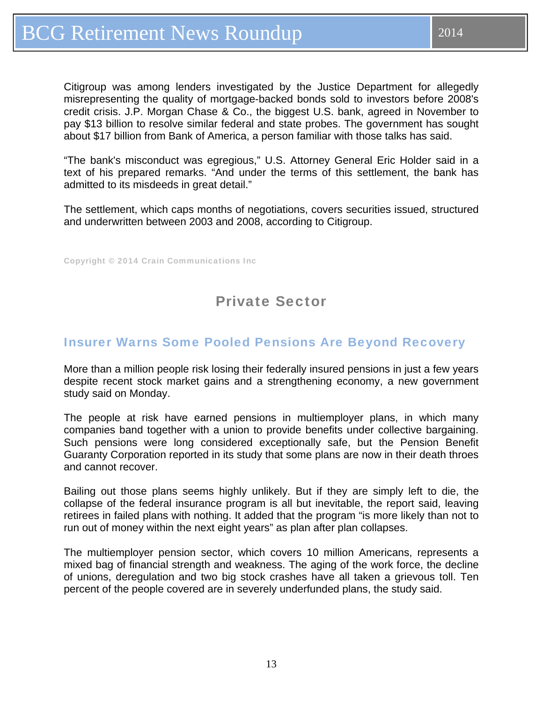<span id="page-12-0"></span>Citigroup was among lenders investigated by the Justice Department for allegedly misrepresenting the quality of mortgage-backed bonds sold to investors before 2008's credit crisis. J.P. Morgan Chase & Co., the biggest U.S. bank, agreed in November to pay \$13 billion to resolve similar federal and state probes. The government has sought about \$17 billion from Bank of America, a person familiar with those talks has said.

"The bank's misconduct was egregious," U.S. Attorney General Eric Holder said in a text of his prepared remarks. "And under the terms of this settlement, the bank has admitted to its misdeeds in great detail."

The settlement, which caps months of negotiations, covers securities issued, structured and underwritten between 2003 and 2008, according to Citigroup.

Copyright © 2014 Crain Communications Inc

# Private Sector

### Insurer Warns Some Pooled Pensions Are Beyond Recovery

More than a million people risk losing their federally insured pensions in just a few years despite recent stock market gains and a strengthening economy, a new government study said on Monday.

The people at risk have earned pensions in multiemployer plans, in which many companies band together with a union to provide benefits under collective bargaining. Such pensions were long considered exceptionally safe, but the Pension Benefit Guaranty Corporation reported in its study that some plans are now in their death throes and cannot recover.

Bailing out those plans seems highly unlikely. But if they are simply left to die, the collapse of the federal insurance program is all but inevitable, the report said, leaving retirees in failed plans with nothing. It added that the program "is more likely than not to run out of money within the next eight years" as plan after plan collapses.

The multiemployer pension sector, which covers 10 million Americans, represents a mixed bag of financial strength and weakness. The aging of the work force, the decline of unions, deregulation and two big stock crashes have all taken a grievous toll. Ten percent of the people covered are in severely underfunded plans, the study said.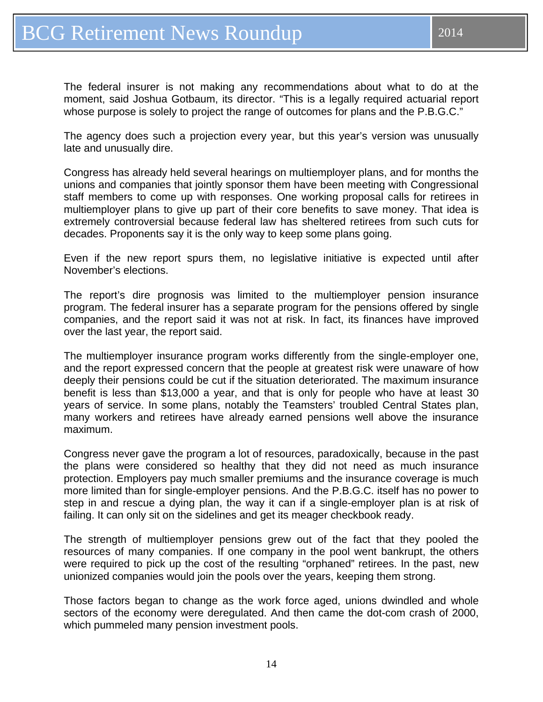The federal insurer is not making any recommendations about what to do at the moment, said Joshua Gotbaum, its director. "This is a legally required actuarial report whose purpose is solely to project the range of outcomes for plans and the P.B.G.C."

The agency does such a projection every year, but this year's version was unusually late and unusually dire.

Congress has already held several hearings on multiemployer plans, and for months the unions and companies that jointly sponsor them have been meeting with Congressional staff members to come up with responses. One working proposal calls for retirees in multiemployer plans to give up part of their core benefits to save money. That idea is extremely controversial because federal law has sheltered retirees from such cuts for decades. Proponents say it is the only way to keep some plans going.

Even if the new report spurs them, no legislative initiative is expected until after November's elections.

The report's dire prognosis was limited to the multiemployer pension insurance program. The federal insurer has a separate program for the pensions offered by single companies, and the report said it was not at risk. In fact, its finances have improved over the last year, the report said.

The multiemployer insurance program works differently from the single-employer one, and the report expressed concern that the people at greatest risk were unaware of how deeply their pensions could be cut if the situation deteriorated. The maximum insurance benefit is less than \$13,000 a year, and that is only for people who have at least 30 years of service. In some plans, notably the Teamsters' troubled Central States plan, many workers and retirees have already earned pensions well above the insurance maximum.

Congress never gave the program a lot of resources, paradoxically, because in the past the plans were considered so healthy that they did not need as much insurance protection. Employers pay much smaller premiums and the insurance coverage is much more limited than for single-employer pensions. And the P.B.G.C. itself has no power to step in and rescue a dying plan, the way it can if a single-employer plan is at risk of failing. It can only sit on the sidelines and get its meager checkbook ready.

The strength of multiemployer pensions grew out of the fact that they pooled the resources of many companies. If one company in the pool went bankrupt, the others were required to pick up the cost of the resulting "orphaned" retirees. In the past, new unionized companies would join the pools over the years, keeping them strong.

Those factors began to change as the work force aged, unions dwindled and whole sectors of the economy were deregulated. And then came the dot-com crash of 2000, which pummeled many pension investment pools.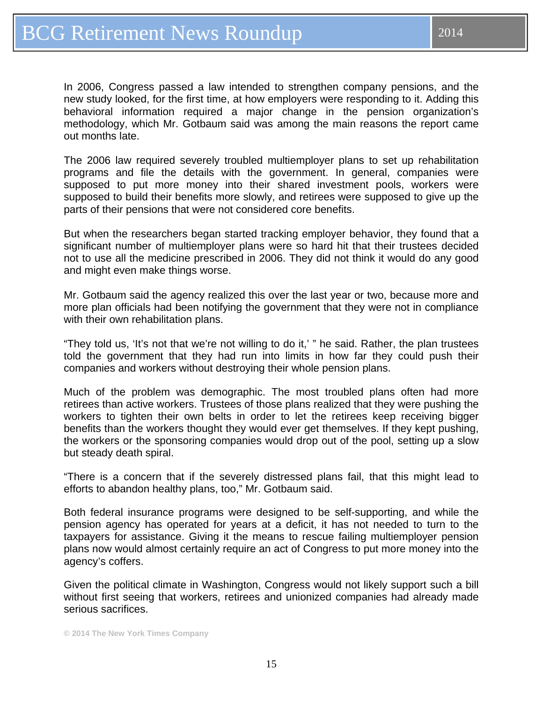In 2006, Congress passed a law intended to strengthen company pensions, and the new study looked, for the first time, at how employers were responding to it. Adding this behavioral information required a major change in the pension organization's methodology, which Mr. Gotbaum said was among the main reasons the report came out months late.

The 2006 law required severely troubled multiemployer plans to set up rehabilitation programs and file the details with the government. In general, companies were supposed to put more money into their shared investment pools, workers were supposed to build their benefits more slowly, and retirees were supposed to give up the parts of their pensions that were not considered core benefits.

But when the researchers began started tracking employer behavior, they found that a significant number of multiemployer plans were so hard hit that their trustees decided not to use all the medicine prescribed in 2006. They did not think it would do any good and might even make things worse.

Mr. Gotbaum said the agency realized this over the last year or two, because more and more plan officials had been notifying the government that they were not in compliance with their own rehabilitation plans.

"They told us, 'It's not that we're not willing to do it,' " he said. Rather, the plan trustees told the government that they had run into limits in how far they could push their companies and workers without destroying their whole pension plans.

Much of the problem was demographic. The most troubled plans often had more retirees than active workers. Trustees of those plans realized that they were pushing the workers to tighten their own belts in order to let the retirees keep receiving bigger benefits than the workers thought they would ever get themselves. If they kept pushing, the workers or the sponsoring companies would drop out of the pool, setting up a slow but steady death spiral.

"There is a concern that if the severely distressed plans fail, that this might lead to efforts to abandon healthy plans, too," Mr. Gotbaum said.

Both federal insurance programs were designed to be self-supporting, and while the pension agency has operated for years at a deficit, it has not needed to turn to the taxpayers for assistance. Giving it the means to rescue failing multiemployer pension plans now would almost certainly require an act of Congress to put more money into the agency's coffers.

Given the political climate in Washington, Congress would not likely support such a bill without first seeing that workers, retirees and unionized companies had already made serious sacrifices.

**© 2014 The New York Times Company**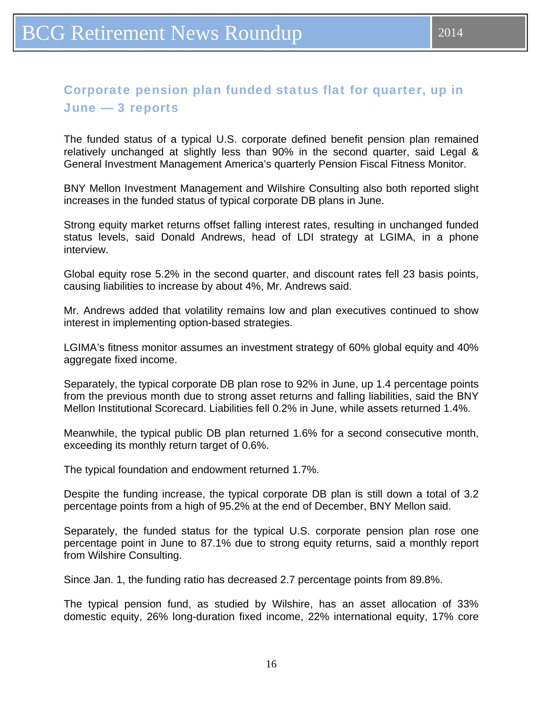# <span id="page-15-0"></span>Corporate pension plan funded status flat for quarter, up in June — 3 reports

The funded status of a typical U.S. corporate defined benefit pension plan remained relatively unchanged at slightly less than 90% in the second quarter, said Legal & General Investment Management America's quarterly Pension Fiscal Fitness Monitor.

BNY Mellon Investment Management and Wilshire Consulting also both reported slight increases in the funded status of typical corporate DB plans in June.

Strong equity market returns offset falling interest rates, resulting in unchanged funded status levels, said Donald Andrews, head of LDI strategy at LGIMA, in a phone interview.

Global equity rose 5.2% in the second quarter, and discount rates fell 23 basis points, causing liabilities to increase by about 4%, Mr. Andrews said.

Mr. Andrews added that volatility remains low and plan executives continued to show interest in implementing option-based strategies.

LGIMA's fitness monitor assumes an investment strategy of 60% global equity and 40% aggregate fixed income.

Separately, the typical corporate DB plan rose to 92% in June, up 1.4 percentage points from the previous month due to strong asset returns and falling liabilities, said the BNY Mellon Institutional Scorecard. Liabilities fell 0.2% in June, while assets returned 1.4%.

Meanwhile, the typical public DB plan returned 1.6% for a second consecutive month, exceeding its monthly return target of 0.6%.

The typical foundation and endowment returned 1.7%.

Despite the funding increase, the typical corporate DB plan is still down a total of 3.2 percentage points from a high of 95.2% at the end of December, BNY Mellon said.

Separately, the funded status for the typical U.S. corporate pension plan rose one percentage point in June to 87.1% due to strong equity returns, said a monthly report from Wilshire Consulting.

Since Jan. 1, the funding ratio has decreased 2.7 percentage points from 89.8%.

The typical pension fund, as studied by Wilshire, has an asset allocation of 33% domestic equity, 26% long-duration fixed income, 22% international equity, 17% core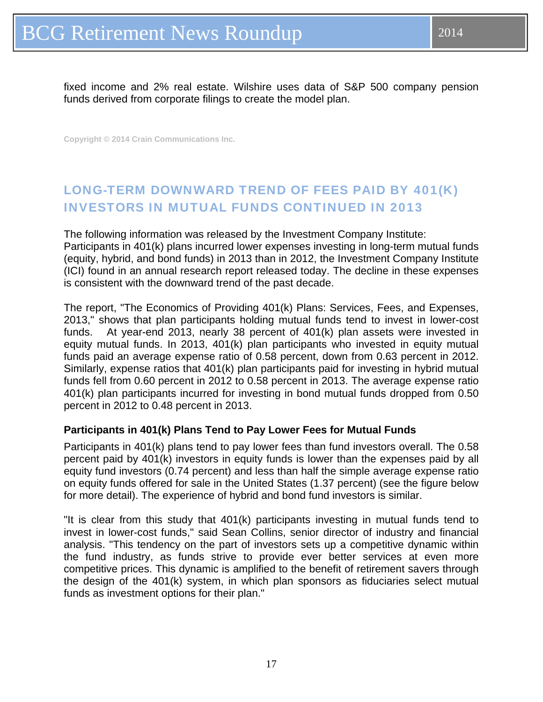<span id="page-16-0"></span>fixed income and 2% real estate. Wilshire uses data of S&P 500 company pension funds derived from corporate filings to create the model plan.

**Copyright © 2014 Crain Communications Inc.** 

# LONG-TERM DOWNWARD TREND OF FEES PAID BY 401(K) INVESTORS IN MUTUAL FUNDS CONTINUED IN 2013

The following information was released by the Investment Company Institute: Participants in 401(k) plans incurred lower expenses investing in long-term mutual funds (equity, hybrid, and bond funds) in 2013 than in 2012, the Investment Company Institute (ICI) found in an annual research report released today. The decline in these expenses is consistent with the downward trend of the past decade.

The report, "The Economics of Providing 401(k) Plans: Services, Fees, and Expenses, 2013," shows that plan participants holding mutual funds tend to invest in lower-cost funds. At year-end 2013, nearly 38 percent of 401(k) plan assets were invested in equity mutual funds. In 2013, 401(k) plan participants who invested in equity mutual funds paid an average expense ratio of 0.58 percent, down from 0.63 percent in 2012. Similarly, expense ratios that 401(k) plan participants paid for investing in hybrid mutual funds fell from 0.60 percent in 2012 to 0.58 percent in 2013. The average expense ratio 401(k) plan participants incurred for investing in bond mutual funds dropped from 0.50 percent in 2012 to 0.48 percent in 2013.

#### **Participants in 401(k) Plans Tend to Pay Lower Fees for Mutual Funds**

Participants in 401(k) plans tend to pay lower fees than fund investors overall. The 0.58 percent paid by 401(k) investors in equity funds is lower than the expenses paid by all equity fund investors (0.74 percent) and less than half the simple average expense ratio on equity funds offered for sale in the United States (1.37 percent) (see the figure below for more detail). The experience of hybrid and bond fund investors is similar.

"It is clear from this study that 401(k) participants investing in mutual funds tend to invest in lower-cost funds," said Sean Collins, senior director of industry and financial analysis. "This tendency on the part of investors sets up a competitive dynamic within the fund industry, as funds strive to provide ever better services at even more competitive prices. This dynamic is amplified to the benefit of retirement savers through the design of the 401(k) system, in which plan sponsors as fiduciaries select mutual funds as investment options for their plan."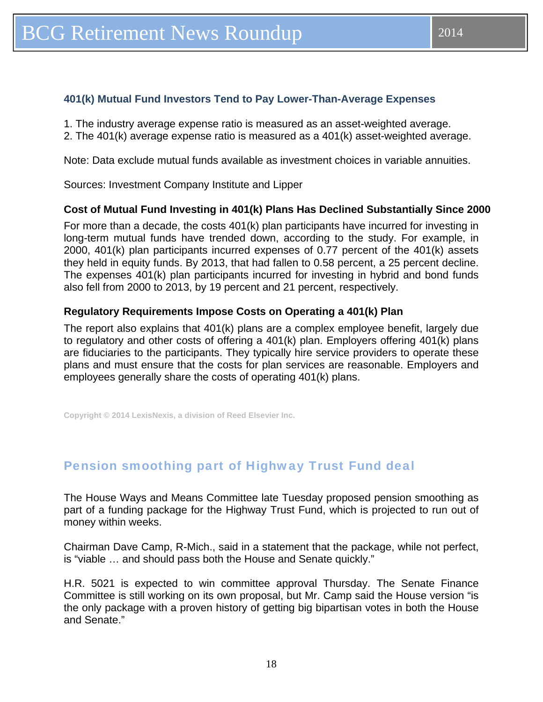### <span id="page-17-0"></span>**401(k) Mutual Fund Investors Tend to Pay Lower-Than-Average Expenses**

- 1. The industry average expense ratio is measured as an asset-weighted average.
- 2. The 401(k) average expense ratio is measured as a 401(k) asset-weighted average.

Note: Data exclude mutual funds available as investment choices in variable annuities.

Sources: Investment Company Institute and Lipper

### **Cost of Mutual Fund Investing in 401(k) Plans Has Declined Substantially Since 2000**

For more than a decade, the costs 401(k) plan participants have incurred for investing in long-term mutual funds have trended down, according to the study. For example, in 2000, 401(k) plan participants incurred expenses of 0.77 percent of the 401(k) assets they held in equity funds. By 2013, that had fallen to 0.58 percent, a 25 percent decline. The expenses 401(k) plan participants incurred for investing in hybrid and bond funds also fell from 2000 to 2013, by 19 percent and 21 percent, respectively.

### **Regulatory Requirements Impose Costs on Operating a 401(k) Plan**

The report also explains that 401(k) plans are a complex employee benefit, largely due to regulatory and other costs of offering a 401(k) plan. Employers offering 401(k) plans are fiduciaries to the participants. They typically hire service providers to operate these plans and must ensure that the costs for plan services are reasonable. Employers and employees generally share the costs of operating 401(k) plans.

**Copyright © 2014 LexisNexis, a division of Reed Elsevier Inc.** 

### Pension smoothing part of Highway Trust Fund deal

The House Ways and Means Committee late Tuesday proposed pension smoothing as part of a funding package for the Highway Trust Fund, which is projected to run out of money within weeks.

Chairman Dave Camp, R-Mich., said in a statement that the package, while not perfect, is "viable … and should pass both the House and Senate quickly."

H.R. 5021 is expected to win committee approval Thursday. The Senate Finance Committee is still working on its own proposal, but Mr. Camp said the House version "is the only package with a proven history of getting big bipartisan votes in both the House and Senate."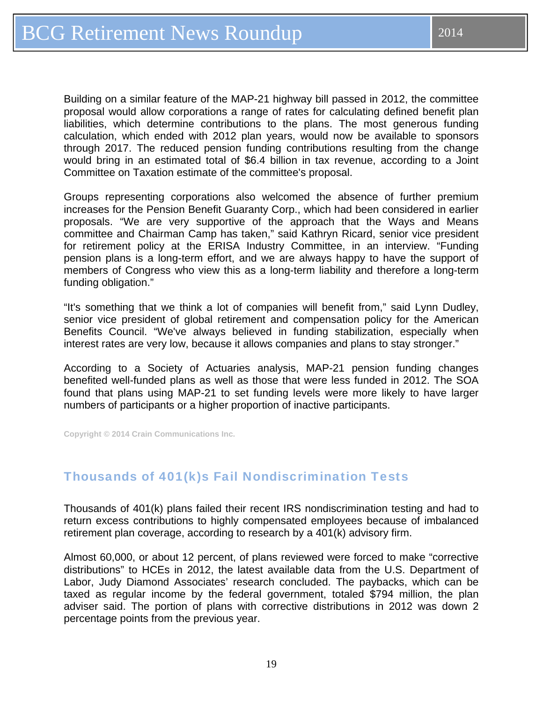<span id="page-18-0"></span>Building on a similar feature of the MAP-21 highway bill passed in 2012, the committee proposal would allow corporations a range of rates for calculating defined benefit plan liabilities, which determine contributions to the plans. The most generous funding calculation, which ended with 2012 plan years, would now be available to sponsors through 2017. The reduced pension funding contributions resulting from the change would bring in an estimated total of \$6.4 billion in tax revenue, according to a Joint Committee on Taxation estimate of the committee's proposal.

Groups representing corporations also welcomed the absence of further premium increases for the Pension Benefit Guaranty Corp., which had been considered in earlier proposals. "We are very supportive of the approach that the Ways and Means committee and Chairman Camp has taken," said Kathryn Ricard, senior vice president for retirement policy at the ERISA Industry Committee, in an interview. "Funding pension plans is a long-term effort, and we are always happy to have the support of members of Congress who view this as a long-term liability and therefore a long-term funding obligation."

"It's something that we think a lot of companies will benefit from," said Lynn Dudley, senior vice president of global retirement and compensation policy for the American Benefits Council. "We've always believed in funding stabilization, especially when interest rates are very low, because it allows companies and plans to stay stronger."

According to a Society of Actuaries analysis, MAP-21 pension funding changes benefited well-funded plans as well as those that were less funded in 2012. The SOA found that plans using MAP-21 to set funding levels were more likely to have larger numbers of participants or a higher proportion of inactive participants.

**Copyright © 2014 Crain Communications Inc.**

### Thousands of 401(k)s Fail Nondiscrimination Tests

Thousands of 401(k) plans failed their recent IRS nondiscrimination testing and had to return excess contributions to highly compensated employees because of imbalanced retirement plan coverage, according to research by a 401(k) advisory firm.

Almost 60,000, or about 12 percent, of plans reviewed were forced to make "corrective distributions" to HCEs in 2012, the latest available data from the U.S. Department of Labor, Judy Diamond Associates' research concluded. The paybacks, which can be taxed as regular income by the federal government, totaled \$794 million, the plan adviser said. The portion of plans with corrective distributions in 2012 was down 2 percentage points from the previous year.